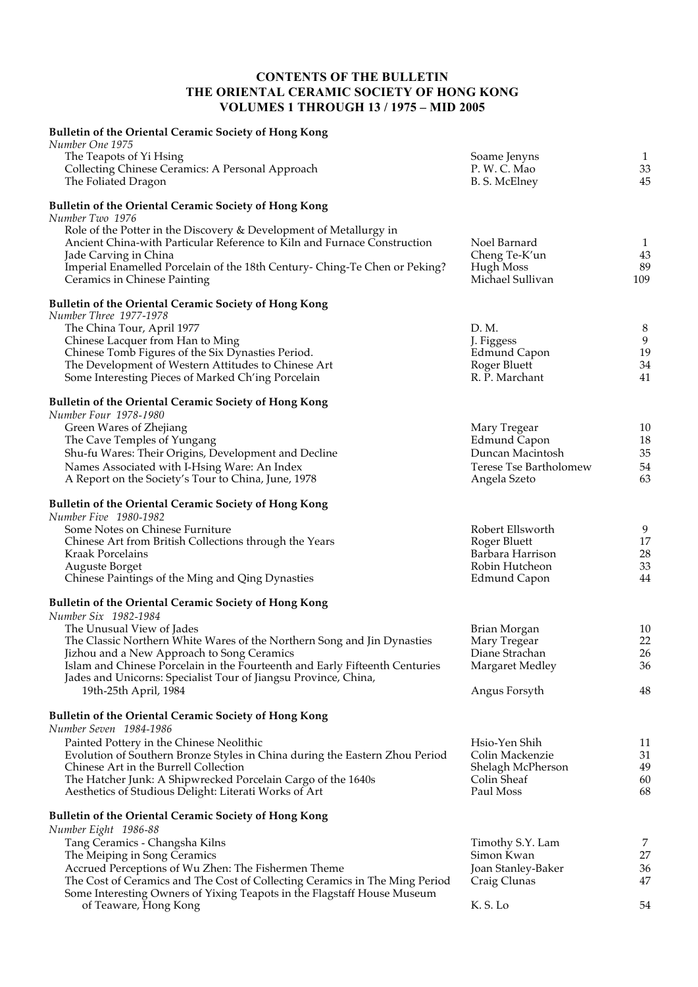## **CONTENTS OF THE BULLETIN THE ORIENTAL CERAMIC SOCIETY OF HONG KONG VOLUMES 1 THROUGH 13 / 1975 – MID 2005**

| <b>Bulletin of the Oriental Ceramic Society of Hong Kong</b>                                                                                                            |                                            |                          |
|-------------------------------------------------------------------------------------------------------------------------------------------------------------------------|--------------------------------------------|--------------------------|
| Number One 1975<br>The Teapots of Yi Hsing<br>Collecting Chinese Ceramics: A Personal Approach<br>The Foliated Dragon                                                   | Soame Jenyns<br>P.W.C.Mao<br>B. S. McElney | $\mathbf{1}$<br>33<br>45 |
| <b>Bulletin of the Oriental Ceramic Society of Hong Kong</b><br>Number Two 1976                                                                                         |                                            |                          |
| Role of the Potter in the Discovery & Development of Metallurgy in<br>Ancient China-with Particular Reference to Kiln and Furnace Construction<br>Jade Carving in China | Noel Barnard<br>Cheng Te-K'un              | $\mathbf{1}$<br>43       |
| Imperial Enamelled Porcelain of the 18th Century- Ching-Te Chen or Peking?<br>Ceramics in Chinese Painting                                                              | Hugh Moss<br>Michael Sullivan              | 89<br>109                |
| <b>Bulletin of the Oriental Ceramic Society of Hong Kong</b><br>Number Three 1977-1978                                                                                  |                                            |                          |
| The China Tour, April 1977<br>Chinese Lacquer from Han to Ming                                                                                                          | D. M.<br>J. Figgess                        | 8<br>9                   |
| Chinese Tomb Figures of the Six Dynasties Period.                                                                                                                       | <b>Edmund Capon</b>                        | 1 <sup>5</sup>           |
| The Development of Western Attitudes to Chinese Art<br>Some Interesting Pieces of Marked Ch'ing Porcelain                                                               | Roger Bluett<br>R. P. Marchant             | 34<br>41                 |
| <b>Bulletin of the Oriental Ceramic Society of Hong Kong</b><br>Number Four 1978-1980                                                                                   |                                            |                          |
| Green Wares of Zhejiang                                                                                                                                                 | Mary Tregear                               | 10                       |
| The Cave Temples of Yungang                                                                                                                                             | <b>Edmund Capon</b>                        | 18                       |
| Shu-fu Wares: Their Origins, Development and Decline<br>Names Associated with I-Hsing Ware: An Index                                                                    | Duncan Macintosh<br>Terese Tse Bartholomew | 35<br>54                 |
| A Report on the Society's Tour to China, June, 1978                                                                                                                     | Angela Szeto                               | 63                       |
| Bulletin of the Oriental Ceramic Society of Hong Kong<br>Number Five 1980-1982                                                                                          |                                            |                          |
| Some Notes on Chinese Furniture                                                                                                                                         | Robert Ellsworth                           | 9                        |
| Chinese Art from British Collections through the Years                                                                                                                  | Roger Bluett                               | 17                       |
| Kraak Porcelains<br>Auguste Borget                                                                                                                                      | Barbara Harrison<br>Robin Hutcheon         | 28<br>33                 |
| Chinese Paintings of the Ming and Qing Dynasties                                                                                                                        | <b>Edmund Capon</b>                        | 44                       |
| <b>Bulletin of the Oriental Ceramic Society of Hong Kong</b><br>Number Six 1982-1984                                                                                    |                                            |                          |
| The Unusual View of Jades                                                                                                                                               | Brian Morgan                               | 10                       |
| The Classic Northern White Wares of the Northern Song and Jin Dynasties                                                                                                 | Mary Tregear                               | 22                       |
| Jizhou and a New Approach to Song Ceramics<br>Islam and Chinese Porcelain in the Fourteenth and Early Fifteenth Centuries                                               | Diane Strachan<br>Margaret Medley          | 26<br>36                 |
| Jades and Unicorns: Specialist Tour of Jiangsu Province, China,                                                                                                         |                                            |                          |
| 19th-25th April, 1984                                                                                                                                                   | Angus Forsyth                              | 48                       |
| <b>Bulletin of the Oriental Ceramic Society of Hong Kong</b><br>Number Seven 1984-1986                                                                                  |                                            |                          |
| Painted Pottery in the Chinese Neolithic                                                                                                                                | Hsio-Yen Shih                              | 11                       |
| Evolution of Southern Bronze Styles in China during the Eastern Zhou Period                                                                                             | Colin Mackenzie                            | 31                       |
| Chinese Art in the Burrell Collection<br>The Hatcher Junk: A Shipwrecked Porcelain Cargo of the 1640s                                                                   | Shelagh McPherson<br>Colin Sheaf           | 49<br>60                 |
| Aesthetics of Studious Delight: Literati Works of Art                                                                                                                   | Paul Moss                                  | 68                       |
| <b>Bulletin of the Oriental Ceramic Society of Hong Kong</b><br>Number Eight 1986-88                                                                                    |                                            |                          |
| Tang Ceramics - Changsha Kilns                                                                                                                                          | Timothy S.Y. Lam                           | 7                        |
| The Meiping in Song Ceramics                                                                                                                                            | Simon Kwan                                 | 27                       |
| Accrued Perceptions of Wu Zhen: The Fishermen Theme<br>The Cost of Ceramics and The Cost of Collecting Ceramics in The Ming Period                                      | Joan Stanley-Baker<br>Craig Clunas         | 36<br>47                 |
| Some Interesting Owners of Yixing Teapots in the Flagstaff House Museum                                                                                                 |                                            |                          |
| of Teaware, Hong Kong                                                                                                                                                   | K.S.Lo                                     | 54                       |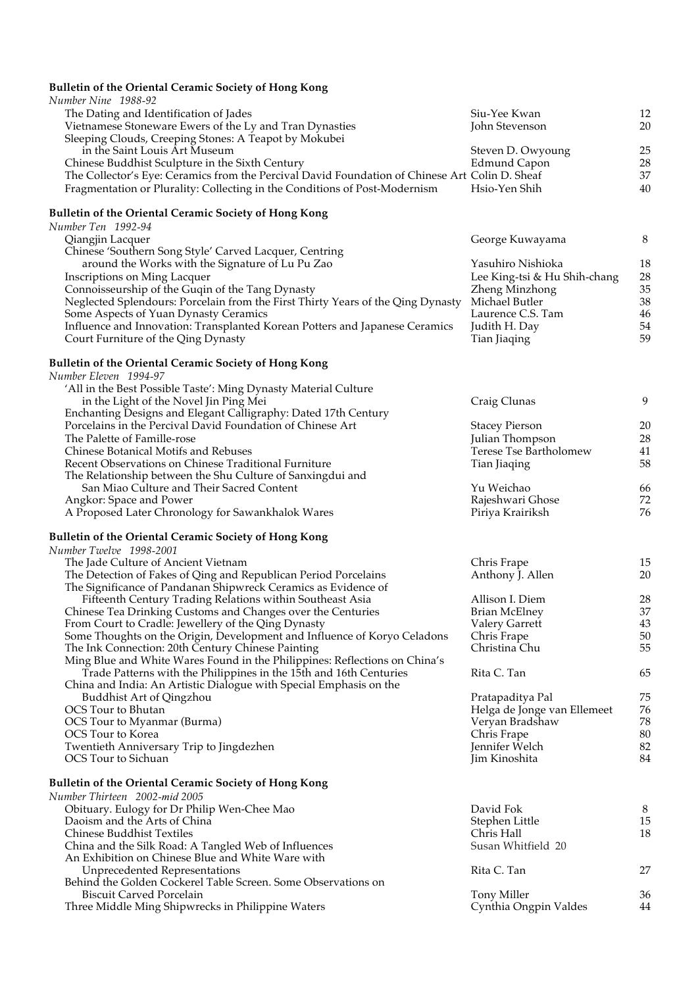## **Bulletin of the Oriental Ceramic Society of Hong Kong**

| Number Nine 1988-92                                                                                                                 |                                           |          |
|-------------------------------------------------------------------------------------------------------------------------------------|-------------------------------------------|----------|
| The Dating and Identification of Jades                                                                                              | Siu-Yee Kwan                              | 12       |
| Vietnamese Stoneware Ewers of the Ly and Tran Dynasties                                                                             | John Stevenson                            | 20       |
| Sleeping Clouds, Creeping Stones: A Teapot by Mokubei                                                                               |                                           |          |
| in the Saint Louis Art Museum<br>Chinese Buddhist Sculpture in the Sixth Century                                                    | Steven D. Owyoung<br><b>Edmund Capon</b>  | 25<br>28 |
| The Collector's Eye: Ceramics from the Percival David Foundation of Chinese Art Colin D. Sheaf                                      |                                           | 37       |
| Fragmentation or Plurality: Collecting in the Conditions of Post-Modernism                                                          | Hsio-Yen Shih                             | 40       |
| Bulletin of the Oriental Ceramic Society of Hong Kong                                                                               |                                           |          |
| Number Ten 1992-94                                                                                                                  |                                           |          |
| Qiangjin Lacquer                                                                                                                    | George Kuwayama                           | $\,8$    |
| Chinese 'Southern Song Style' Carved Lacquer, Centring                                                                              |                                           |          |
| around the Works with the Signature of Lu Pu Zao                                                                                    | Yasuhiro Nishioka                         | 18       |
| <b>Inscriptions on Ming Lacquer</b>                                                                                                 | Lee King-tsi & Hu Shih-chang              | 28<br>35 |
| Connoisseurship of the Guqin of the Tang Dynasty<br>Neglected Splendours: Porcelain from the First Thirty Years of the Qing Dynasty | Zheng Minzhong<br>Michael Butler          | 38       |
| Some Aspects of Yuan Dynasty Ceramics                                                                                               | Laurence C.S. Tam                         | 46       |
| Influence and Innovation: Transplanted Korean Potters and Japanese Ceramics                                                         | Judith H. Day                             | 54       |
| Court Furniture of the Qing Dynasty                                                                                                 | Tian Jiaqing                              | 59       |
| Bulletin of the Oriental Ceramic Society of Hong Kong                                                                               |                                           |          |
| Number Eleven 1994-97                                                                                                               |                                           |          |
| 'All in the Best Possible Taste': Ming Dynasty Material Culture                                                                     |                                           |          |
| in the Light of the Novel Jin Ping Mei                                                                                              | Craig Clunas                              | 9        |
| Enchanting Designs and Elegant Calligraphy: Dated 17th Century                                                                      |                                           |          |
| Porcelains in the Percival David Foundation of Chinese Art                                                                          | <b>Stacey Pierson</b>                     | 20       |
| The Palette of Famille-rose<br><b>Chinese Botanical Motifs and Rebuses</b>                                                          | Julian Thompson<br>Terese Tse Bartholomew | 28<br>41 |
| Recent Observations on Chinese Traditional Furniture                                                                                | Tian Jiaqing                              | 58       |
| The Relationship between the Shu Culture of Sanxingdui and                                                                          |                                           |          |
| San Miao Culture and Their Sacred Content                                                                                           | Yu Weichao                                | 66       |
| Angkor: Space and Power                                                                                                             | Rajeshwari Ghose                          | 72       |
| A Proposed Later Chronology for Sawankhalok Wares                                                                                   | Piriya Krairiksh                          | 76       |
| Bulletin of the Oriental Ceramic Society of Hong Kong                                                                               |                                           |          |
| Number Twelve 1998-2001                                                                                                             |                                           |          |
| The Jade Culture of Ancient Vietnam                                                                                                 | Chris Frape                               | 15       |
| The Detection of Fakes of Qing and Republican Period Porcelains                                                                     | Anthony J. Allen                          | 20       |
| The Significance of Pandanan Shipwreck Ceramics as Evidence of                                                                      | Allison I. Diem                           |          |
| Fifteenth Century Trading Relations within Southeast Asia<br>Chinese Tea Drinking Customs and Changes over the Centuries            | <b>Brian McElney</b>                      | 28<br>37 |
| From Court to Cradle: Jewellery of the Qing Dynasty                                                                                 | Valery Garrett                            | 43       |
| Some Thoughts on the Origin, Development and Influence of Koryo Celadons                                                            | Chris Frape                               | 50       |
| The Ink Connection: 20th Century Chinese Painting                                                                                   | Christina Chu                             | 55       |
| Ming Blue and White Wares Found in the Philippines: Reflections on China's                                                          |                                           |          |
| Trade Patterns with the Philippines in the 15th and 16th Centuries                                                                  | Rita C. Tan                               | 65       |
| China and India: An Artistic Dialogue with Special Emphasis on the<br>Buddhist Art of Qingzhou                                      | Pratapaditya Pal                          | 75       |
| OCS Tour to Bhutan                                                                                                                  | Helga de Jonge van Ellemeet               | 76       |
| OCS Tour to Myanmar (Burma)                                                                                                         | Veryan Bradshaw                           | 78       |
| OCS Tour to Korea                                                                                                                   | Chris Frape                               | 80       |
| Twentieth Anniversary Trip to Jingdezhen                                                                                            | Jennifer Welch                            | 82       |
| OCS Tour to Sichuan                                                                                                                 | Jim Kinoshita                             | 84       |
| <b>Bulletin of the Oriental Ceramic Society of Hong Kong</b>                                                                        |                                           |          |
| Number Thirteen 2002-mid 2005                                                                                                       |                                           |          |
| Obituary. Eulogy for Dr Philip Wen-Chee Mao                                                                                         | David Fok                                 | 8        |
| Daoism and the Arts of China                                                                                                        | Stephen Little                            | 15       |
| Chinese Buddhist Textiles<br>China and the Silk Road: A Tangled Web of Influences                                                   | Chris Hall<br>Susan Whitfield 20          | 18       |
| An Exhibition on Chinese Blue and White Ware with                                                                                   |                                           |          |
| <b>Unprecedented Representations</b>                                                                                                | Rita C. Tan                               | 27       |
| Behind the Golden Cockerel Table Screen. Some Observations on                                                                       |                                           |          |
| <b>Biscuit Carved Porcelain</b>                                                                                                     | Tony Miller                               | 36       |
| Three Middle Ming Shipwrecks in Philippine Waters                                                                                   | Cynthia Ongpin Valdes                     | 44       |